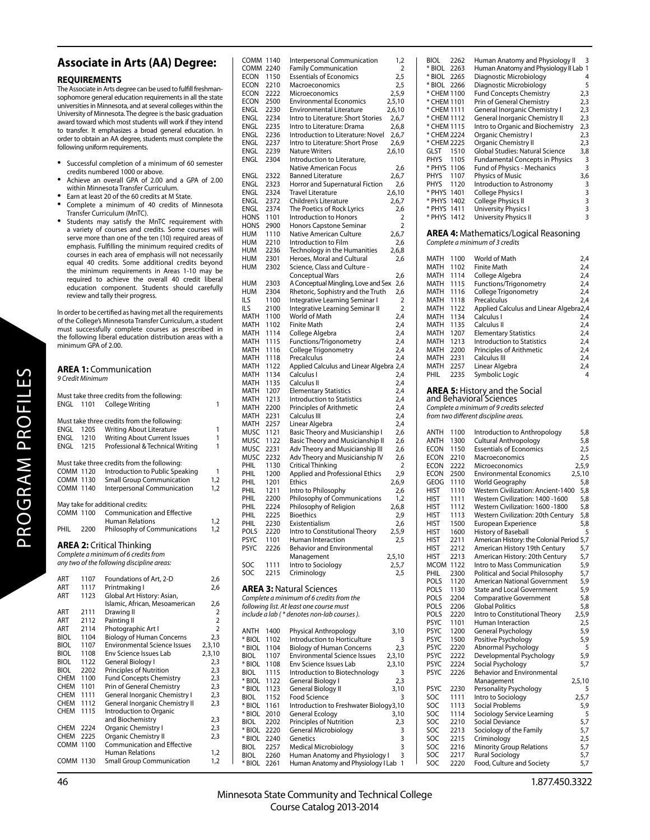## **Associate in Arts (AA) Degree:**

## **REQUIREMENTS**

The Associate in Arts degree can be used to fulfill freshmansophomore general education requirements in all the state universities in Minnesota, and at several colleges within the University of Minnesota. The degree is the basic graduation award toward which most students will work if they intend to transfer. It emphasizes a broad general education. In order to obtain an AA degree, students must complete the following uniform requirements.

- Successful completion of a minimum of 60 semester credits numbered 1000 or above.
- Achieve an overall GPA of 2.00 and a GPA of 2.00 within Minnesota Transfer Curriculum.
- Earn at least 20 of the 60 credits at M State.
- Complete a minimum of 40 credits of Minnesota Transfer Curriculum (MnTC).
- Students may satisfy the MnTC requirement with a variety of courses and credits. Some courses will serve more than one of the ten (10) required areas of emphasis. Fulfilling the minimum required credits of courses in each area of emphasis will not necessarily equal 40 credits. Some additional credits beyond the minimum requirements in Areas 1-10 may be required to achieve the overall 40 credit liberal education component. Students should carefully review and tally their progress.

In order to be certified as having met all the requirements of the College's Minnesota Transfer Curriculum, a student must successfully complete courses as prescribed in the following liberal education distribution areas with a minimum GPA of 2.00.

| <b>AREA 1: Communication</b><br>9 Credit Minimum |      |                                             |                |
|--------------------------------------------------|------|---------------------------------------------|----------------|
|                                                  |      | Must take three credits from the following: |                |
| ENGL                                             | 1101 | College Writing                             | 1              |
|                                                  |      | Must take three credits from the following: |                |
| ENGL                                             | 1205 | <b>Writing About Literature</b>             | 1              |
| ENGL                                             | 1210 | <b>Writing About Current Issues</b>         | 1              |
| ENGL                                             | 1215 | Professional & Technical Writing            | 1              |
|                                                  |      | Must take three credits from the following: |                |
| COMM 1120                                        |      | Introduction to Public Speaking             | 1              |
| <b>COMM 1130</b>                                 |      | <b>Small Group Communication</b>            | 1,2            |
| <b>COMM 1140</b>                                 |      | Interpersonal Communication                 | 1,2            |
|                                                  |      | May take for additional credits:            |                |
| <b>COMM 1100</b>                                 |      | <b>Communication and Effective</b>          |                |
|                                                  |      | <b>Human Relations</b>                      | 1,2            |
| PHIL                                             | 2200 | <b>Philosophy of Communications</b>         | 1,2            |
|                                                  |      | <b>AREA 2:</b> Critical Thinking            |                |
|                                                  |      | Complete a minimum of 6 credits from        |                |
|                                                  |      | any two of the following discipline areas:  |                |
| ART                                              | 1107 | Foundations of Art, 2-D                     | 2,6            |
| ART                                              | 1117 | Printmaking I                               | 2,6            |
| ART                                              | 1123 | Global Art History: Asian,                  |                |
|                                                  |      | Islamic, African, Mesoamerican              | 2,6            |
| ART                                              | 2111 | Drawing II                                  | 2              |
| ART                                              | 2112 | Painting II                                 | $\overline{2}$ |
| ART                                              | 2114 | Photographic Art I                          | $\overline{2}$ |
| BIOL                                             | 1104 | <b>Biology of Human Concerns</b>            | 2,3            |
| BIOL                                             | 1107 | <b>Environmental Science Issues</b>         | 2,3,10         |
| BIOL                                             | 1108 | Env Science Issues Lab                      | 2,3,10         |
| BIOL                                             | 1122 | General Biology I                           | 2,3            |
| BIOL                                             | 2202 | Principles of Nutrition                     | 2,3            |
| <b>CHEM</b>                                      | 1100 | <b>Fund Concepts Chemistry</b>              | 2,3            |
| CHEM                                             | 1101 | Prin of General Chemistry                   | 2,3            |
| CHEM                                             | 1111 | General Inorganic Chemistry I               | 2,3            |
| CHEM                                             | 1112 | General Inorganic Chemistry II              | 2,3            |
| <b>CHEM</b>                                      | 1115 | Introduction to Organic                     |                |
|                                                  |      | and Biochemistry                            | 2,3            |
| CHEM                                             | 2224 | Organic Chemistry I                         | 2,3            |
| <b>CHEM</b>                                      | 2225 | Organic Chemistry II                        | 2,3            |
| COMM                                             | 1100 | <b>Communication and Effective</b>          |                |
|                                                  |      | <b>Human Relations</b>                      | 1,2            |
| <b>COMM 1130</b>                                 |      | <b>Small Group Communication</b>            | 1,2            |

COMM 1130 Small Group Communication

| COMM                  | 1140         | Interpersonal Communication                                           | 1,2             |
|-----------------------|--------------|-----------------------------------------------------------------------|-----------------|
| COMM<br>ECON          | 2240<br>1150 | <b>Family Communication</b><br><b>Essentials of Economics</b>         | 2<br>2,5        |
| ECON                  | 2210         | Macroeconomics                                                        | 2,5             |
| ECON                  | 2222         | Microeconomics                                                        | 2,5,9           |
| ECON                  | 2500         | <b>Environmental Economics</b>                                        | 2,5,10          |
| ENGL                  | 2230         | <b>Environmental Literature</b>                                       | 2,6,10          |
| ENGL                  | 2234         | Intro to Literature: Short Stories                                    | 2,6,7           |
| ENGL                  | 2235         | Intro to Literature: Drama                                            | 2,6,8           |
| ENGL<br>ENGL          | 2236<br>2237 | Introduction to Literature: Novel<br>Intro to Literature: Short Prose | 2,6,7           |
| ENGL                  | 2239         | <b>Nature Writers</b>                                                 | 2,6,9<br>2,6,10 |
| ENGL                  | 2304         | Introduction to Literature,                                           |                 |
|                       |              | Native American Focus                                                 | 2,6             |
| <b>ENGL</b>           | 2322         | <b>Banned Literature</b>                                              | 2,6,7           |
| ENGL                  | 2323         | Horror and Supernatural Fiction                                       | 2,6             |
| ENGL                  | 2324         | <b>Travel Literature</b>                                              | 2,6,10          |
| ENGL<br><b>ENGL</b>   | 2372<br>2374 | Children's Literature<br>The Poetics of Rock Lyrics                   | 2,6,7<br>2,6    |
| HONS                  | 1101         | Introduction to Honors                                                | 2               |
| HONS                  | 2900         | Honors Capstone Seminar                                               | 2               |
| HUM                   | 1110         | Native American Culture                                               | 2,6,7           |
| HUM                   | 2210         | Introduction to Film                                                  | 2,6             |
| HUM                   | 2236         | Technology in the Humanities                                          | 2,6,8           |
| HUM                   | 2301         | Heroes, Moral and Cultural                                            | 2,6             |
| HUM                   | 2302         | Science, Class and Culture -                                          | 2,6             |
| HUM                   | 2303         | <b>Conceptual Wars</b><br>A Conceptual Mingling, Love and Sex         | 2,6             |
| HUM                   | 2304         | Rhetoric, Sophistry and the Truth                                     | 2,6             |
| ILS                   | 1100         | Integrative Learning Seminar I                                        | 2               |
| <b>ILS</b>            | 2100         | Integrative Learning Seminar II                                       | 2               |
| MATH                  | 1100         | World of Math                                                         | 2,4             |
| MATH                  | 1102         | Finite Math                                                           | 2,4             |
| <b>MATH</b><br>MATH   | 1114<br>1115 | College Algebra<br><b>Functions/Trigonometry</b>                      | 2,4<br>2,4      |
| MATH                  | 1116         | College Trigonometry                                                  | 2,4             |
| MATH                  | 1118         | Precalculus                                                           | 2,4             |
| MATH                  | 1122         | Applied Calculus and Linear Algebra 2,4                               |                 |
| MATH                  | 1134         | Calculus I                                                            | 2,4             |
| MATH                  | 1135         | Calculus II                                                           | 2,4             |
| MATH                  | 1207         | <b>Elementary Statistics</b>                                          | 2,4             |
| MATH<br>MATH          | 1213<br>2200 | Introduction to Statistics<br>Principles of Arithmetic                | 2,4<br>2,4      |
| MATH                  | 2231         | Calculus III                                                          | 2,4             |
| MATH                  | 2257         | Linear Algebra                                                        | 2,4             |
| MUSC                  | 1121         | Basic Theory and Musicianship I                                       | 2,6             |
| MUSC                  | 1122         | Basic Theory and Musicianship II                                      | 2,6             |
| MUSC                  | 2231         | Adv Theory and Musicianship III                                       | 2,6             |
| MUSC                  | 2232         | Adv Theory and Musicianship IV                                        | 2,6             |
| PHIL<br>PHIL          | 1130<br>1200 | Critical Thinking<br><b>Applied and Professional Ethics</b>           | 2<br>2,9        |
| PHIL                  | 1201         | Ethics                                                                | 2,6,9           |
| PHIL                  | 1211         | Intro to Philosophy                                                   | 2,6             |
| PHIL                  | 2200         | Philosophy of Communications                                          | 1,2             |
| PHIL                  | 2224         | Philosophy of Religion                                                | 2,6,8           |
| PHIL                  | 2225         | Bioethics                                                             | 2,9             |
| PHIL                  | 2230         | Existentialism                                                        | 2,6<br>2,5,9    |
| POLS<br><b>PSYC</b>   | 2220<br>1101 | Intro to Constitutional Theory<br>Human Interaction                   | 2,5             |
| PSYC                  | 2226         | <b>Behavior and Environmental</b>                                     |                 |
|                       |              | Management                                                            | 2,5,10          |
| SOC                   | 1111         | Intro to Sociology                                                    | 2,5,7           |
| SOC                   | 2215         | Criminology                                                           | 2,5             |
|                       |              | <b>AREA 3: Natural Sciences</b>                                       |                 |
|                       |              | Complete a minimum of 6 credits from the                              |                 |
|                       |              | following list. At least one course must                              |                 |
|                       |              | include a lab (* denotes non-lab courses).                            |                 |
|                       |              |                                                                       |                 |
| ANTH                  | 1400         | Physical Anthropology                                                 | 3,10            |
| * BIOL                | 1102         | Introduction to Horticulture<br><b>Biology of Human Concerns</b>      | 3               |
| * BIOL<br><b>BIOL</b> | 1104<br>1107 | <b>Environmental Science Issues</b>                                   | 2,3<br>2,3,10   |
| * BIOL                | 1108         | Env Science Issues Lab                                                | 2,3,10          |
| BIOL                  | 1115         | Introduction to Biotechnology                                         | 3               |
| * BIOL                | 1122         | <b>General Biology I</b>                                              | 2,3             |
| * BIOL                | 1123         | General Biology II                                                    | 3,10            |
| BIOL                  | 1152         | <b>Food Science</b>                                                   | 3               |
| * BIOL<br>* BIOL      | 1161<br>2010 | Introduction to Freshwater Biology3,10<br>General Ecology             | 3,10            |
| BIOL                  | 2202         | Principles of Nutrition                                               | 2,3             |
| * BIOL                | 2220         | General Microbiology                                                  | 3               |
| * BIOL                | 2240         | Genetics                                                              | 3               |
| BIOL                  | 2257         | Medical Microbiology                                                  | 3               |
| BIOL                  | 2260         | Human Anatomy and Physiology I                                        | 3               |
| * BIOL                | 2261         | Human Anatomy and Physiology I Lab                                    | $\mathbf{1}$    |

| BIOL        | 2262 | Human Anatomy and Physiology II              | 3              |
|-------------|------|----------------------------------------------|----------------|
| * BIOL      | 2263 | Human Anatomy and Physiology II Lab          | $\overline{1}$ |
| * BIOL      | 2265 | Diagnostic Microbiology                      | 4              |
|             |      |                                              |                |
| * BIOL      | 2266 | Diagnostic Microbiology                      | 5              |
| * CHEM 1100 |      | <b>Fund Concepts Chemistry</b>               | 2,3            |
| * CHEM 1101 |      | Prin of General Chemistry                    | 2,3            |
| * CHEM 1111 |      | General Inorganic Chemistry I                | 2,3            |
| * CHEM 1112 |      | General Inorganic Chemistry II               | 2,3            |
| * CHEM 1115 |      | Intro to Organic and Biochemistry            | 2,3            |
|             |      |                                              |                |
| * CHEM 2224 |      | Organic Chemistry I                          | 2,3            |
| * CHEM 2225 |      | Organic Chemistry II                         | 2,3            |
| GLST        | 1510 | Global Studies: Natural Science              | 3,8            |
| PHYS        | 1105 | <b>Fundamental Concepts in Physics</b>       | 3              |
| * PHYS      | 1106 | Fund of Physics - Mechanics                  | 3              |
| PHYS        | 1107 | Physics of Music                             | 3,6            |
|             |      |                                              |                |
| PHYS        | 1120 | Introduction to Astronomy                    | 3              |
| * PHYS      | 1401 | College Physics I                            | 3              |
| * PHYS      | 1402 | College Physics II                           | 3              |
| * PHYS      | 1411 | University Physics I                         | 3              |
| * PHYS      | 1412 | University Physics II                        | 3              |
|             |      |                                              |                |
|             |      |                                              |                |
|             |      | <b>AREA 4:</b> Mathematics/Logical Reasoning |                |
|             |      | Complete a minimum of 3 credits              |                |
|             |      |                                              |                |
| math        | 1100 | World of Math                                | 2,4            |
| math        | 1102 | Finite Math                                  | 2,4            |
|             | 1114 |                                              |                |
| MATH        |      | College Algebra                              | 2,4            |
| MATH        | 1115 | Functions/Trigonometry                       | 2,4            |
| math        | 1116 | College Trigonometry                         | 2,4            |
| <b>MATH</b> | 1118 | Precalculus                                  | 2,4            |
| MATH        | 1122 | Applied Calculus and Linear Algebra2,4       |                |
|             |      |                                              |                |
| MATH        | 1134 | Calculus I                                   | 2,4            |
| MATH        | 1135 | Calculus II                                  | 2,4            |
| math        | 1207 | <b>Elementary Statistics</b>                 | 2,4            |
| MATH        | 1213 | <b>Introduction to Statistics</b>            | 2,4            |
| MATH        | 2200 | Principles of Arithmetic                     | 2,4            |
| MATH        | 2231 |                                              |                |
|             |      | Calculus III                                 | 2,4            |
| MATH        | 2257 | Linear Algebra                               | 2,4            |
| PHIL        | 2235 | Symbolic Logic                               | 4              |
|             |      |                                              |                |
|             |      | <b>AREA 5: History and the Social</b>        |                |
|             |      | and Behavioral Sciences                      |                |
|             |      |                                              |                |
|             |      | Complete a minimum of 9 credits selected     |                |
|             |      |                                              |                |
|             |      | from two different discipline areas.         |                |
|             |      |                                              |                |
| ANTH        | 1100 |                                              | 5,8            |
|             |      | Introduction to Anthropology                 |                |
| ANTH        | 1300 | Cultural Anthropology                        | 5,8            |
| ECON        | 1150 | <b>Essentials of Economics</b>               | 2,5            |
| ECON        | 2210 | Macroeconomics                               | 2,5            |
| ECON        | 2222 | Microeconomics                               | 2,5,9          |
| ECON        | 2500 | <b>Environmental Economics</b>               | 2,5,10         |
| GEOG        | 1110 | <b>World Geography</b>                       | 5,8            |
|             |      |                                              |                |
| hist        | 1110 | <b>Western Civilization: Ancient-1400</b>    | 5,8            |
| hist        | 1111 | Western Civilization: 1400 -1600             | 5,8            |
| hist        | 1112 | Western Civilization: 1600 -1800             | 5,8            |
| HIST        | 1113 | <b>Western Civilization: 20th Century</b>    | 5,8            |
| HIST        | 1500 | European Experience                          | 5.8            |
|             |      |                                              |                |
| HIST        | 1600 | History of Baseball                          | 5              |
| hist        | 2211 | American History: the Colonial Period 5,7    |                |
| hist        | 2212 | American History 19th Century                | 5,7            |
| HIST        | 2213 | American History: 20th Century               | 5,7            |
| <b>MCOM</b> | 1122 | Intro to Mass Communication                  | 5,9            |
| PHIL        | 2300 |                                              |                |
|             |      | Political and Social Philosophy              | 5,7            |
| POLS        | 1120 | American National Government                 | 5,9            |
| POLS        | 1130 | <b>State and Local Government</b>            | 5,9            |
| POLS        | 2204 | <b>Comparative Government</b>                | 5,8            |
| POLS        | 2206 | <b>Global Politics</b>                       | 5,8            |
| POLS        | 2220 | Intro to Constitutional Theory               | 2,5,9          |
| <b>PSYC</b> | 1101 |                                              |                |
|             |      | Human Interaction                            | 2,5            |
| <b>PSYC</b> | 1200 | General Psychology                           | 5,9            |
| PSYC        | 1500 | Positive Psychology                          | 5,9            |
| <b>PSYC</b> | 2220 | Abnormal Psychology                          | 5              |
| PSYC        | 2222 | Developmental Psychology                     | 5,9            |
| <b>PSYC</b> | 2224 | Social Psychology                            | 5,7            |
| <b>PSYC</b> | 2226 | Behavior and Environmental                   |                |
|             |      |                                              |                |
|             |      | Management                                   | 2,5,10         |
| <b>PSYC</b> | 2230 | Personality Psychology                       | 5              |
| SOC         | 1111 | Intro to Sociology                           | 2,5,7          |
| SOC         | 1113 | <b>Social Problems</b>                       | 5,9            |
| SOC         | 1114 | Sociology Service Learning                   | 5              |
|             |      |                                              |                |
| SOC         | 2210 | Social Deviance                              | 5,7            |
| SOC         | 2213 | Sociology of the Family                      | 5,7            |
| SOC         | 2215 | Criminology                                  | 2,5            |
| SOC         | 2216 | <b>Minority Group Relations</b>              | 5,7            |
| SOC         | 2217 | Rural Sociology                              | 5,7            |